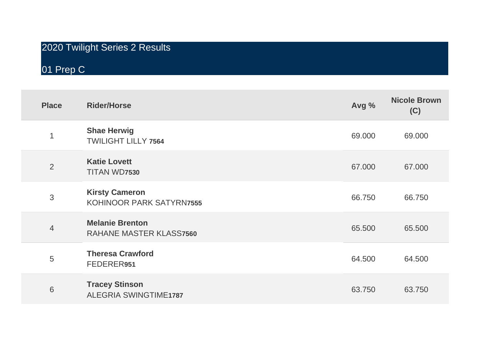# 2020 Twilight Series 2 Results

01 Prep C

| <b>Place</b>   | <b>Rider/Horse</b>                                       | Avg %  | <b>Nicole Brown</b><br>(C) |
|----------------|----------------------------------------------------------|--------|----------------------------|
| 1              | <b>Shae Herwig</b><br><b>TWILIGHT LILLY 7564</b>         | 69.000 | 69.000                     |
| $\overline{2}$ | <b>Katie Lovett</b><br>TITAN WD7530                      | 67.000 | 67.000                     |
| 3              | <b>Kirsty Cameron</b><br>KOHINOOR PARK SATYRN7555        | 66.750 | 66.750                     |
| $\overline{4}$ | <b>Melanie Brenton</b><br><b>RAHANE MASTER KLASS7560</b> | 65.500 | 65.500                     |
| 5              | <b>Theresa Crawford</b><br>FEDERER951                    | 64.500 | 64.500                     |
| 6              | <b>Tracey Stinson</b><br><b>ALEGRIA SWINGTIME1787</b>    | 63.750 | 63.750                     |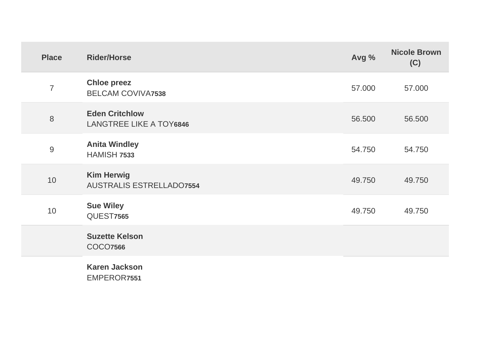| <b>Place</b>   | <b>Rider/Horse</b>                                      | Avg %  | <b>Nicole Brown</b><br>(C) |
|----------------|---------------------------------------------------------|--------|----------------------------|
| $\overline{7}$ | <b>Chloe preez</b><br><b>BELCAM COVIVA7538</b>          | 57.000 | 57.000                     |
| 8              | <b>Eden Critchlow</b><br><b>LANGTREE LIKE A TOY6846</b> | 56.500 | 56.500                     |
| $\overline{9}$ | <b>Anita Windley</b><br><b>HAMISH 7533</b>              | 54.750 | 54.750                     |
| 10             | <b>Kim Herwig</b><br><b>AUSTRALIS ESTRELLADO7554</b>    | 49.750 | 49.750                     |
| 10             | <b>Sue Wiley</b><br><b>QUEST7565</b>                    | 49.750 | 49.750                     |
|                | <b>Suzette Kelson</b><br><b>COCO7566</b>                |        |                            |
|                | <b>Karen Jackson</b><br>EMPEROR7551                     |        |                            |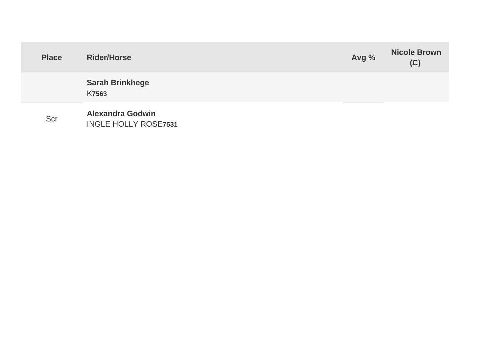| <b>Place</b> | <b>Rider/Horse</b>                                     | Avg % | <b>Nicole Brown</b><br>(C) |
|--------------|--------------------------------------------------------|-------|----------------------------|
|              | <b>Sarah Brinkhege</b><br><b>K7563</b>                 |       |                            |
| Scr          | <b>Alexandra Godwin</b><br><b>INGLE HOLLY ROSE7531</b> |       |                            |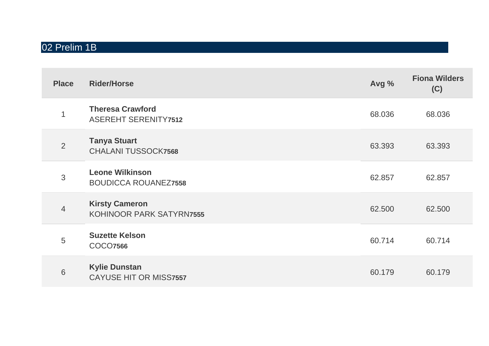## 02 Prelim 1B

| <b>Place</b>   | <b>Rider/Horse</b>                                     | Avg %  | <b>Fiona Wilders</b><br>(C) |
|----------------|--------------------------------------------------------|--------|-----------------------------|
| 1              | <b>Theresa Crawford</b><br><b>ASEREHT SERENITY7512</b> | 68.036 | 68.036                      |
| $\overline{2}$ | <b>Tanya Stuart</b><br><b>CHALANI TUSSOCK7568</b>      | 63.393 | 63.393                      |
| 3              | <b>Leone Wilkinson</b><br><b>BOUDICCA ROUANEZ7558</b>  | 62.857 | 62.857                      |
| $\overline{4}$ | <b>Kirsty Cameron</b><br>KOHINOOR PARK SATYRN7555      | 62,500 | 62.500                      |
| 5              | <b>Suzette Kelson</b><br><b>COCO7566</b>               | 60.714 | 60.714                      |
| 6              | <b>Kylie Dunstan</b><br><b>CAYUSE HIT OR MISS7557</b>  | 60.179 | 60.179                      |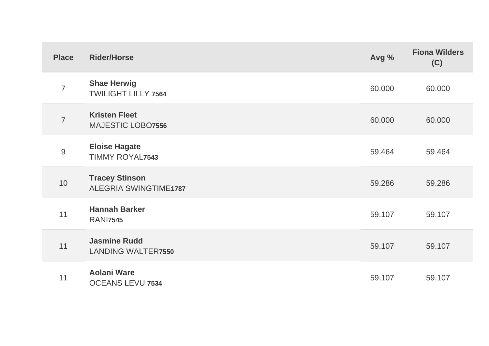| <b>Place</b>   | <b>Rider/Horse</b>                                    | Avg %  | <b>Fiona Wilders</b><br>(C) |
|----------------|-------------------------------------------------------|--------|-----------------------------|
| $\overline{7}$ | <b>Shae Herwig</b><br><b>TWILIGHT LILLY 7564</b>      | 60.000 | 60.000                      |
| $\overline{7}$ | <b>Kristen Fleet</b><br><b>MAJESTIC LOBO7556</b>      | 60.000 | 60.000                      |
| $\overline{9}$ | <b>Eloise Hagate</b><br><b>TIMMY ROYAL7543</b>        | 59.464 | 59.464                      |
| 10             | <b>Tracey Stinson</b><br><b>ALEGRIA SWINGTIME1787</b> | 59.286 | 59.286                      |
| 11             | <b>Hannah Barker</b><br><b>RANI7545</b>               | 59.107 | 59.107                      |
| 11             | <b>Jasmine Rudd</b><br><b>LANDING WALTER7550</b>      | 59.107 | 59.107                      |
| 11             | <b>Aolani Ware</b><br><b>OCEANS LEVU 7534</b>         | 59.107 | 59.107                      |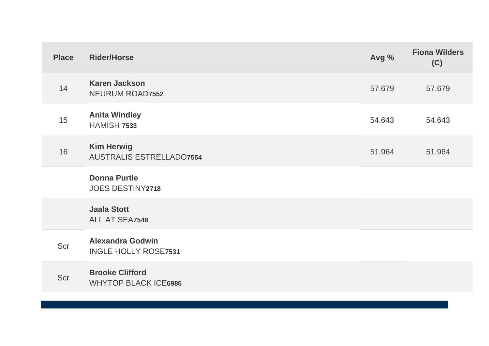| <b>Place</b> | <b>Rider/Horse</b>                                     | Avg %  | <b>Fiona Wilders</b><br>(C) |
|--------------|--------------------------------------------------------|--------|-----------------------------|
| 14           | <b>Karen Jackson</b><br><b>NEURUM ROAD7552</b>         | 57.679 | 57.679                      |
| 15           | <b>Anita Windley</b><br><b>HAMISH 7533</b>             | 54.643 | 54.643                      |
| 16           | <b>Kim Herwig</b><br><b>AUSTRALIS ESTRELLADO7554</b>   | 51.964 | 51.964                      |
|              | <b>Donna Purtle</b><br><b>JOES DESTINY2718</b>         |        |                             |
|              | <b>Jaala Stott</b><br>ALL AT SEA7548                   |        |                             |
| Scr          | <b>Alexandra Godwin</b><br><b>INGLE HOLLY ROSE7531</b> |        |                             |
| Scr          | <b>Brooke Clifford</b><br><b>WHYTOP BLACK ICE6986</b>  |        |                             |
|              |                                                        |        |                             |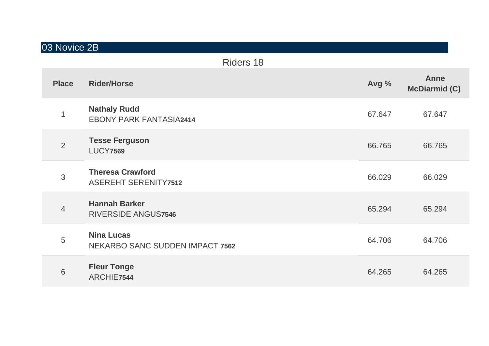## 03 Novice 2B

|                | Riders 18                                                   |        |                              |
|----------------|-------------------------------------------------------------|--------|------------------------------|
| <b>Place</b>   | <b>Rider/Horse</b>                                          | Avg %  | Anne<br><b>McDiarmid (C)</b> |
| 1              | <b>Nathaly Rudd</b><br><b>EBONY PARK FANTASIA2414</b>       | 67.647 | 67.647                       |
| $\overline{2}$ | <b>Tesse Ferguson</b><br><b>LUCY7569</b>                    | 66.765 | 66.765                       |
| 3              | <b>Theresa Crawford</b><br><b>ASEREHT SERENITY7512</b>      | 66.029 | 66.029                       |
| $\overline{4}$ | <b>Hannah Barker</b><br><b>RIVERSIDE ANGUS7546</b>          | 65.294 | 65.294                       |
| 5              | <b>Nina Lucas</b><br><b>NEKARBO SANC SUDDEN IMPACT 7562</b> | 64.706 | 64.706                       |
| 6              | <b>Fleur Tonge</b><br>ARCHIE7544                            | 64.265 | 64.265                       |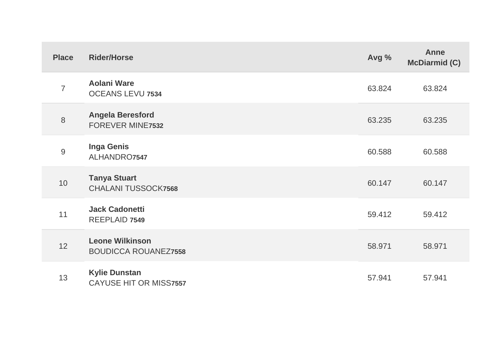| <b>Place</b>   | <b>Rider/Horse</b>                                    | Avg %  | <b>Anne</b><br><b>McDiarmid (C)</b> |
|----------------|-------------------------------------------------------|--------|-------------------------------------|
| $\overline{7}$ | <b>Aolani Ware</b><br><b>OCEANS LEVU 7534</b>         | 63.824 | 63.824                              |
| 8              | <b>Angela Beresford</b><br><b>FOREVER MINE7532</b>    | 63.235 | 63.235                              |
| 9              | <b>Inga Genis</b><br>ALHANDRO7547                     | 60.588 | 60.588                              |
| 10             | <b>Tanya Stuart</b><br><b>CHALANI TUSSOCK7568</b>     | 60.147 | 60.147                              |
| 11             | <b>Jack Cadonetti</b><br><b>REEPLAID 7549</b>         | 59.412 | 59.412                              |
| 12             | <b>Leone Wilkinson</b><br><b>BOUDICCA ROUANEZ7558</b> | 58.971 | 58.971                              |
| 13             | <b>Kylie Dunstan</b><br><b>CAYUSE HIT OR MISS7557</b> | 57.941 | 57.941                              |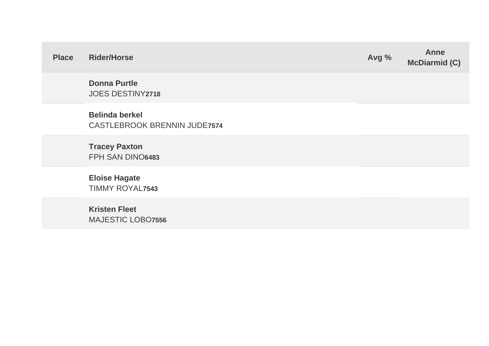| <b>Place</b> | <b>Rider/Horse</b>                                           | Avg % | <b>Anne</b><br><b>McDiarmid (C)</b> |
|--------------|--------------------------------------------------------------|-------|-------------------------------------|
|              | <b>Donna Purtle</b><br><b>JOES DESTINY2718</b>               |       |                                     |
|              | <b>Belinda berkel</b><br><b>CASTLEBROOK BRENNIN JUDE7574</b> |       |                                     |
|              | <b>Tracey Paxton</b><br>FPH SAN DINO6483                     |       |                                     |
|              | <b>Eloise Hagate</b><br><b>TIMMY ROYAL7543</b>               |       |                                     |
|              | <b>Kristen Fleet</b><br><b>MAJESTIC LOBO7556</b>             |       |                                     |
|              |                                                              |       |                                     |

and the state of the state of the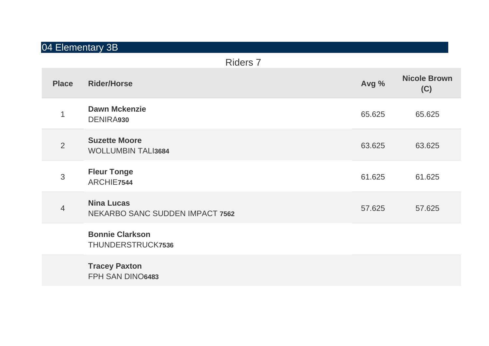# 04 Elementary 3B

|                         | <b>Riders 7</b>                                             |        |                            |
|-------------------------|-------------------------------------------------------------|--------|----------------------------|
| <b>Place</b>            | <b>Rider/Horse</b>                                          | Avg %  | <b>Nicole Brown</b><br>(C) |
| $\overline{\mathbf{1}}$ | <b>Dawn Mckenzie</b><br><b>DENIRA930</b>                    | 65.625 | 65.625                     |
| $\overline{2}$          | <b>Suzette Moore</b><br><b>WOLLUMBIN TALI3684</b>           | 63.625 | 63.625                     |
| 3                       | <b>Fleur Tonge</b><br>ARCHIE7544                            | 61.625 | 61.625                     |
| $\overline{4}$          | <b>Nina Lucas</b><br><b>NEKARBO SANC SUDDEN IMPACT 7562</b> | 57.625 | 57.625                     |
|                         | <b>Bonnie Clarkson</b><br>THUNDERSTRUCK7536                 |        |                            |
|                         | <b>Tracey Paxton</b><br>FPH SAN DINO6483                    |        |                            |